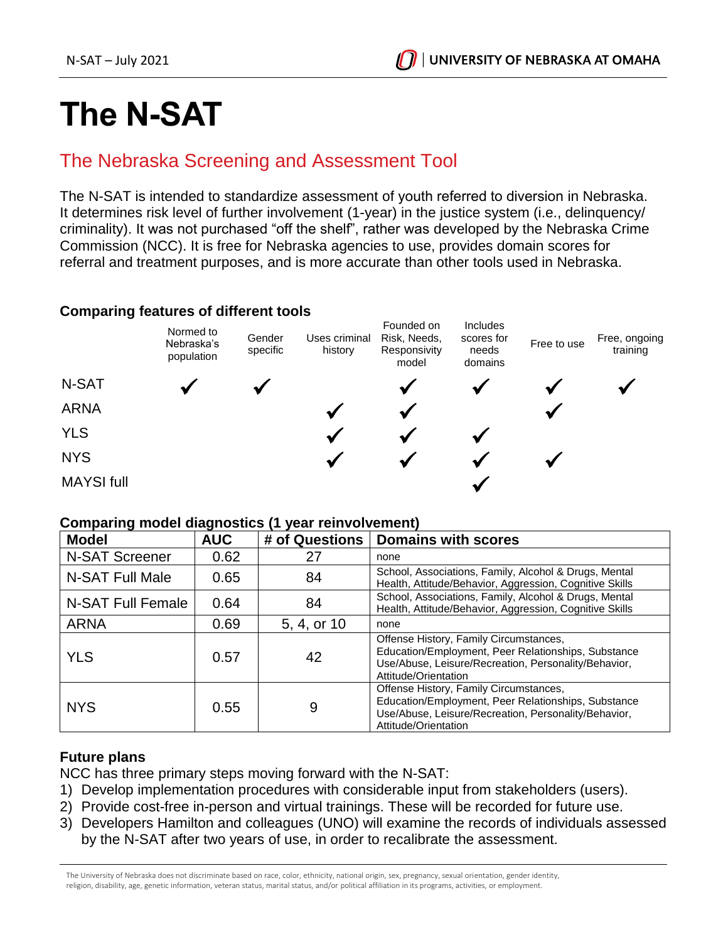# **The N-SAT**

# The Nebraska Screening and Assessment Tool

The N-SAT is intended to standardize assessment of youth referred to diversion in Nebraska. It determines risk level of further involvement (1-year) in the justice system (i.e., delinquency/ criminality). It was not purchased "off the shelf", rather was developed by the Nebraska Crime Commission (NCC). It is free for Nebraska agencies to use, provides domain scores for referral and treatment purposes, and is more accurate than other tools used in Nebraska.

## **Comparing features of different tools**



#### **Comparing model diagnostics (1 year reinvolvement)**

| <b>Model</b>          | <b>AUC</b> | # of Questions | <b>Domains with scores</b>                                                                                                                                                    |
|-----------------------|------------|----------------|-------------------------------------------------------------------------------------------------------------------------------------------------------------------------------|
| <b>N-SAT Screener</b> | 0.62       | 27             | none                                                                                                                                                                          |
| N-SAT Full Male       | 0.65       | 84             | School, Associations, Family, Alcohol & Drugs, Mental<br>Health, Attitude/Behavior, Aggression, Cognitive Skills                                                              |
| N-SAT Full Female     | 0.64       | 84             | School, Associations, Family, Alcohol & Drugs, Mental<br>Health, Attitude/Behavior, Aggression, Cognitive Skills                                                              |
| <b>ARNA</b>           | 0.69       | 5, 4, or 10    | none                                                                                                                                                                          |
| <b>YLS</b>            | 0.57       | 42             | Offense History, Family Circumstances,<br>Education/Employment, Peer Relationships, Substance<br>Use/Abuse, Leisure/Recreation, Personality/Behavior,<br>Attitude/Orientation |
| <b>NYS</b>            | 0.55       | 9              | Offense History, Family Circumstances,<br>Education/Employment, Peer Relationships, Substance<br>Use/Abuse, Leisure/Recreation, Personality/Behavior,<br>Attitude/Orientation |

### **Future plans**

NCC has three primary steps moving forward with the N-SAT:

- 1) Develop implementation procedures with considerable input from stakeholders (users).
- 2) Provide cost-free in-person and virtual trainings. These will be recorded for future use.
- 3) Developers Hamilton and colleagues (UNO) will examine the records of individuals assessed by the N-SAT after two years of use, in order to recalibrate the assessment.

The University of Nebraska does not discriminate based on race, color, ethnicity, national origin, sex, pregnancy, sexual orientation, gender identity, religion, disability, age, genetic information, veteran status, marital status, and/or political affiliation in its programs, activities, or employment.